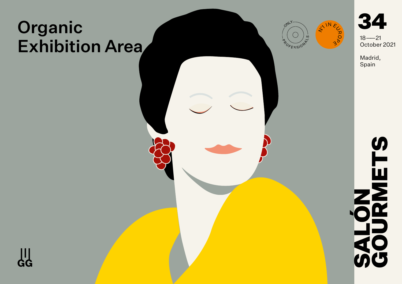# Organic Exhibition Area





Madrid, Spain



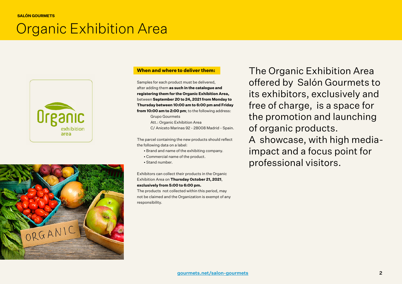## [Organic Exhibition Area](https://www.gourmets.net/salon-gourmets/2020/catalogo-expositores/grupo-gourmets/organic-exhibition-area)





#### **When and where to deliver them:**

Samples for each product must be delivered, after adding them **as such in the catalogue and registering them for the Organic Exhibition Area,**  between **September 20 to 24, 2021 from Monday to Thursday between 10:00 am to 6:00 pm and Friday from 10:00 am to 2:00 pm**; to the following address:

> Grupo Gourmets Att.: Organic Exhibition Area

C/ Aniceto Marinas 92 - 28008 Madrid - Spain.

The parcel containing the new products should reflect the following data on a label:

- Brand and name of the exhibiting company.
- Commercial name of the product.
- Stand number.

Exhibitors can collect their products in the Organic Exhibition Area on **Thursday October 21, 2021**, **exclusively from 5:00 to 6:00 pm.**  The products not collected within this period, may

not be claimed and the Organization is exempt of any responsibility.

The Organic Exhibition Area offered by Salón Gourmets to its exhibitors, exclusively and free of charge, is a space for the promotion and launching of organic products.

A showcase, with high mediaimpact and a focus point for professional visitors.